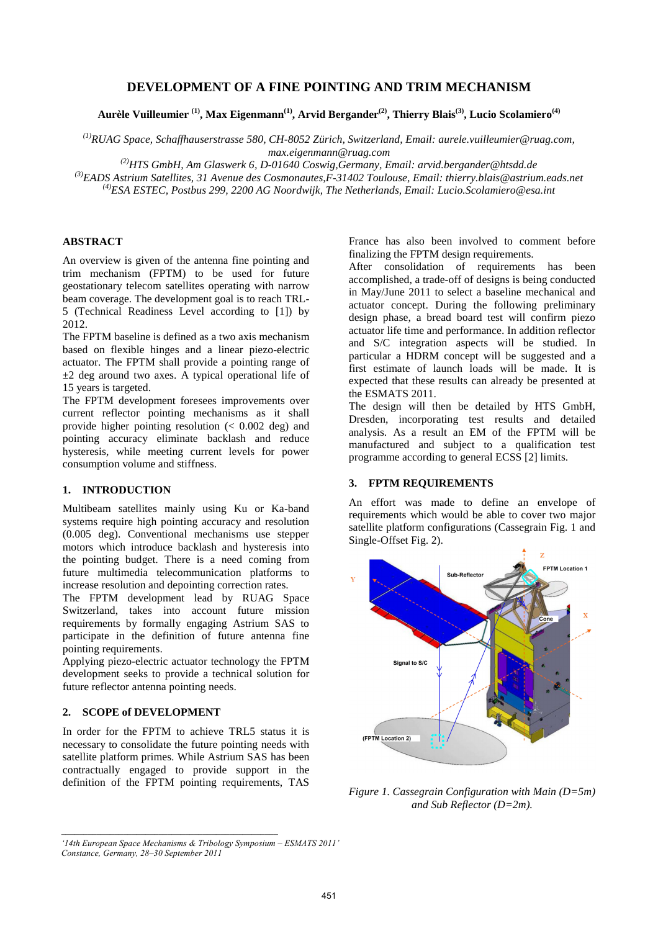## **DEVELOPMENT OF A FINE POINTING AND TRIM MECHANISM**

**Aurèle Vuilleumier (1), Max Eigenmann(1), Arvid Bergander(2), Thierry Blais(3), Lucio Scolamiero(4)**

*(1)RUAG Space, Schaffhauserstrasse 580, CH-8052 Zürich, Switzerland, Email: aurele.vuilleumier@ruag.com, max.eigenmann@ruag.com* 

*(2)HTS GmbH, Am Glaswerk 6, D-01640 Coswig,Germany, Email: arvid.bergander@htsdd.de* 

*(3)EADS Astrium Satellites, 31 Avenue des Cosmonautes,F-31402 Toulouse, Email: thierry.blais@astrium.eads.net (4)ESA ESTEC, Postbus 299, 2200 AG Noordwijk, The Netherlands, Email: Lucio.Scolamiero@esa.int* 

## **ABSTRACT**

An overview is given of the antenna fine pointing and trim mechanism (FPTM) to be used for future geostationary telecom satellites operating with narrow beam coverage. The development goal is to reach TRL-5 (Technical Readiness Level according to [1]) by 2012.

The FPTM baseline is defined as a two axis mechanism based on flexible hinges and a linear piezo-electric actuator. The FPTM shall provide a pointing range of  $\pm 2$  deg around two axes. A typical operational life of 15 years is targeted.

The FPTM development foresees improvements over current reflector pointing mechanisms as it shall provide higher pointing resolution (< 0.002 deg) and pointing accuracy eliminate backlash and reduce hysteresis, while meeting current levels for power consumption volume and stiffness.

# **1. INTRODUCTION**

Multibeam satellites mainly using Ku or Ka-band systems require high pointing accuracy and resolution (0.005 deg). Conventional mechanisms use stepper motors which introduce backlash and hysteresis into the pointing budget. There is a need coming from future multimedia telecommunication platforms to increase resolution and depointing correction rates.

The FPTM development lead by RUAG Space Switzerland, takes into account future mission requirements by formally engaging Astrium SAS to participate in the definition of future antenna fine pointing requirements.

Applying piezo-electric actuator technology the FPTM development seeks to provide a technical solution for future reflector antenna pointing needs.

# **2. SCOPE of DEVELOPMENT**

In order for the FPTM to achieve TRL5 status it is necessary to consolidate the future pointing needs with satellite platform primes. While Astrium SAS has been contractually engaged to provide support in the definition of the FPTM pointing requirements, TAS France has also been involved to comment before finalizing the FPTM design requirements.

After consolidation of requirements has been accomplished, a trade-off of designs is being conducted in May/June 2011 to select a baseline mechanical and actuator concept. During the following preliminary design phase, a bread board test will confirm piezo actuator life time and performance. In addition reflector and S/C integration aspects will be studied. In particular a HDRM concept will be suggested and a first estimate of launch loads will be made. It is expected that these results can already be presented at the ESMATS 2011.

The design will then be detailed by HTS GmbH, Dresden, incorporating test results and detailed analysis. As a result an EM of the FPTM will be manufactured and subject to a qualification test programme according to general ECSS [2] limits.

## **3. FPTM REQUIREMENTS**

An effort was made to define an envelope of requirements which would be able to cover two major satellite platform configurations (Cassegrain Fig. 1 and Single-Offset Fig. 2).



*Figure 1. Cassegrain Configuration with Main (D=5m) and Sub Reflector (D=2m).* 

*'14th European Space Mechanisms & Tribology Symposium – ESMATS 2011' Constance, Germany, 28–30 September 2011*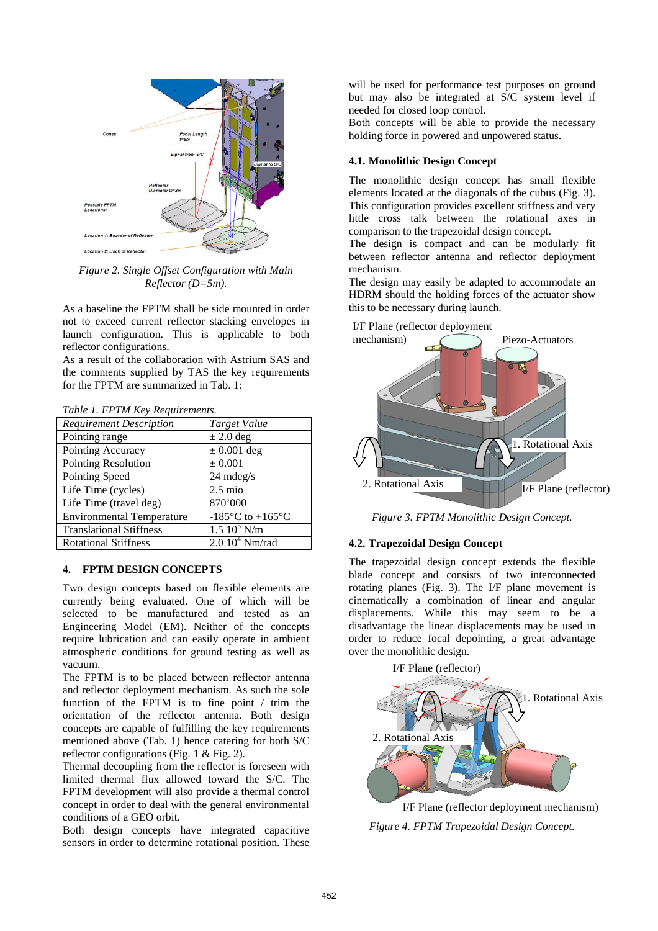

*Figure 2. Single Offset Configuration with Main Reflector (D=5m).* 

As a baseline the FPTM shall be side mounted in order not to exceed current reflector stacking envelopes in launch configuration. This is applicable to both reflector configurations.

As a result of the collaboration with Astrium SAS and the comments supplied by TAS the key requirements for the FPTM are summarized in Tab. 1:

|  | Table 1. FPTM Key Requirements. |
|--|---------------------------------|
|  |                                 |

| <b>Requirement Description</b>   | <b>Target Value</b>                                    |  |  |
|----------------------------------|--------------------------------------------------------|--|--|
| Pointing range                   | $\pm 2.0$ deg                                          |  |  |
| Pointing Accuracy                | $\pm$ 0.001 deg                                        |  |  |
| Pointing Resolution              | $\pm 0.001$                                            |  |  |
| Pointing Speed                   | $24$ mdeg/s                                            |  |  |
| Life Time (cycles)               | $2.5$ mio                                              |  |  |
| Life Time (travel deg)           | 870'000                                                |  |  |
| <b>Environmental Temperature</b> | -185 $\mathrm{^{\circ}C}$ to +165 $\mathrm{^{\circ}C}$ |  |  |
| <b>Translational Stiffness</b>   | $1.5\ 10^5\ N/m$                                       |  |  |
| <b>Rotational Stiffness</b>      | 2.010 <sup>4</sup> Nm/rad                              |  |  |

### **4. FPTM DESIGN CONCEPTS**

Two design concepts based on flexible elements are currently being evaluated. One of which will be selected to be manufactured and tested as an Engineering Model (EM). Neither of the concepts require lubrication and can easily operate in ambient atmospheric conditions for ground testing as well as vacuum.

The FPTM is to be placed between reflector antenna and reflector deployment mechanism. As such the sole function of the FPTM is to fine point / trim the orientation of the reflector antenna. Both design concepts are capable of fulfilling the key requirements mentioned above (Tab. 1) hence catering for both S/C reflector configurations (Fig. 1 & Fig. 2).

Thermal decoupling from the reflector is foreseen with limited thermal flux allowed toward the S/C. The FPTM development will also provide a thermal control concept in order to deal with the general environmental conditions of a GEO orbit.

Both design concepts have integrated capacitive sensors in order to determine rotational position. These

will be used for performance test purposes on ground but may also be integrated at S/C system level if needed for closed loop control.

Both concepts will be able to provide the necessary holding force in powered and unpowered status.

#### **4.1. Monolithic Design Concept**

The monolithic design concept has small flexible elements located at the diagonals of the cubus (Fig. 3). This configuration provides excellent stiffness and very little cross talk between the rotational axes in comparison to the trapezoidal design concept.

The design is compact and can be modularly fit between reflector antenna and reflector deployment mechanism.

The design may easily be adapted to accommodate an HDRM should the holding forces of the actuator show this to be necessary during launch.

1. Rotational Axis 2. Rotational Axis Piezo-Actuators I/F Plane (reflector) I/F Plane (reflector deployment mechanism)

*Figure 3. FPTM Monolithic Design Concept.* 

#### **4.2. Trapezoidal Design Concept**

The trapezoidal design concept extends the flexible blade concept and consists of two interconnected rotating planes (Fig. 3). The I/F plane movement is cinematically a combination of linear and angular displacements. While this may seem to be a disadvantage the linear displacements may be used in order to reduce focal depointing, a great advantage over the monolithic design.



*Figure 4. FPTM Trapezoidal Design Concept.*  I/F Plane (reflector deployment mechanism)